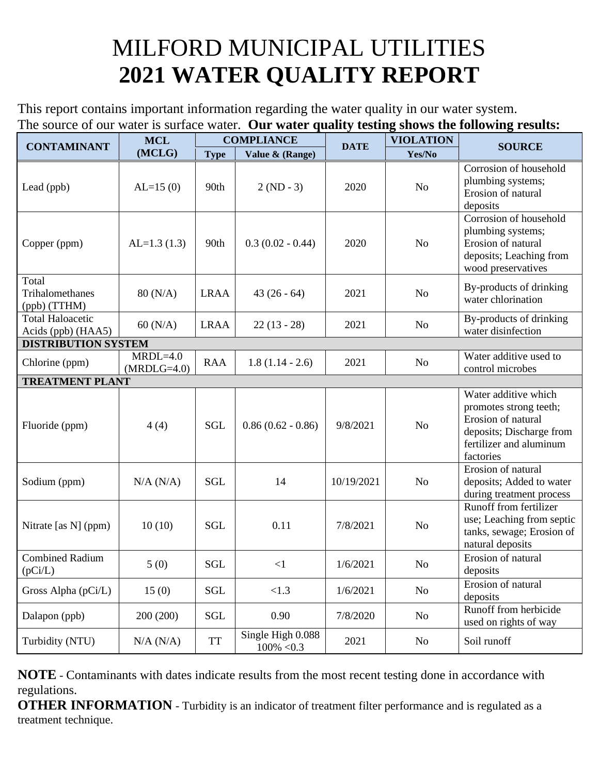## MILFORD MUNICIPAL UTILITIES **2021 WATER QUALITY REPORT**

This report contains important information regarding the water quality in our water system. The source of our water is surface water. **Our water quality testing shows the following results:**

| <b>CONTAMINANT</b>                            | <b>MCL</b><br>(MCLG)        | <b>COMPLIANCE</b> |                                    | <b>DATE</b> | <b>VIOLATION</b> | <b>SOURCE</b>                                                                                                                            |
|-----------------------------------------------|-----------------------------|-------------------|------------------------------------|-------------|------------------|------------------------------------------------------------------------------------------------------------------------------------------|
|                                               |                             | <b>Type</b>       | Value & (Range)                    |             | Yes/No           |                                                                                                                                          |
| Lead (ppb)                                    | $AL=15(0)$                  | 90th              | $2 (ND - 3)$                       | 2020        | No               | Corrosion of household<br>plumbing systems;<br>Erosion of natural<br>deposits                                                            |
| Copper (ppm)                                  | $AL=1.3(1.3)$               | 90th              | $0.3(0.02 - 0.44)$                 | 2020        | N <sub>o</sub>   | Corrosion of household<br>plumbing systems;<br>Erosion of natural<br>deposits; Leaching from<br>wood preservatives                       |
| Total<br>Trihalomethanes<br>(ppb) (TTHM)      | 80 (N/A)                    | <b>LRAA</b>       | $43(26-64)$                        | 2021        | N <sub>o</sub>   | By-products of drinking<br>water chlorination                                                                                            |
| <b>Total Haloacetic</b><br>Acids (ppb) (HAA5) | 60 (N/A)                    | <b>LRAA</b>       | $22(13 - 28)$                      | 2021        | No               | By-products of drinking<br>water disinfection                                                                                            |
| <b>DISTRIBUTION SYSTEM</b>                    |                             |                   |                                    |             |                  |                                                                                                                                          |
| Chlorine (ppm)                                | $MRDL=4.0$<br>$(MRDLG=4.0)$ | <b>RAA</b>        | $1.8(1.14 - 2.6)$                  | 2021        | No               | Water additive used to<br>control microbes                                                                                               |
| <b>TREATMENT PLANT</b>                        |                             |                   |                                    |             |                  |                                                                                                                                          |
| Fluoride (ppm)                                | 4(4)                        | <b>SGL</b>        | $0.86(0.62 - 0.86)$                | 9/8/2021    | N <sub>o</sub>   | Water additive which<br>promotes strong teeth;<br>Erosion of natural<br>deposits; Discharge from<br>fertilizer and aluminum<br>factories |
| Sodium (ppm)                                  | $N/A$ $(N/A)$               | <b>SGL</b>        | 14                                 | 10/19/2021  | N <sub>o</sub>   | Erosion of natural<br>deposits; Added to water<br>during treatment process                                                               |
| Nitrate [as N] (ppm)                          | 10(10)                      | <b>SGL</b>        | 0.11                               | 7/8/2021    | N <sub>o</sub>   | Runoff from fertilizer<br>use; Leaching from septic<br>tanks, sewage; Erosion of<br>natural deposits                                     |
| <b>Combined Radium</b><br>(pCi/L)             | 5(0)                        | <b>SGL</b>        | $\leq$ 1                           | 1/6/2021    | N <sub>o</sub>   | Erosion of natural<br>deposits                                                                                                           |
| Gross Alpha (pCi/L)                           | 15(0)                       | <b>SGL</b>        | <1.3                               | 1/6/2021    | N <sub>0</sub>   | Erosion of natural<br>deposits                                                                                                           |
| Dalapon (ppb)                                 | 200 (200)                   | <b>SGL</b>        | 0.90                               | 7/8/2020    | No               | Runoff from herbicide<br>used on rights of way                                                                                           |
| Turbidity (NTU)                               | $N/A$ $(N/A)$               | <b>TT</b>         | Single High 0.088<br>$100\% < 0.3$ | 2021        | No               | Soil runoff                                                                                                                              |

**NOTE** - Contaminants with dates indicate results from the most recent testing done in accordance with regulations.

**OTHER INFORMATION** - Turbidity is an indicator of treatment filter performance and is regulated as a treatment technique.